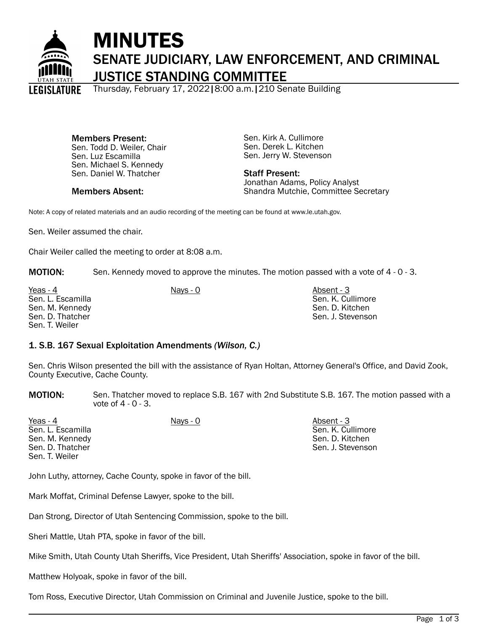

# MINUTES SENATE JUDICIARY, LAW ENFORCEMENT, AND CRIMINAL JUSTICE STANDING COMMITTEE

Thursday, February 17, 2022|8:00 a.m.|210 Senate Building

Members Present: Sen. Todd D. Weiler, Chair Sen. Luz Escamilla Sen. Michael S. Kennedy Sen. Daniel W. Thatcher

Members Absent:

Sen. Kirk A. Cullimore Sen. Derek L. Kitchen Sen. Jerry W. Stevenson

Staff Present: Jonathan Adams, Policy Analyst Shandra Mutchie, Committee Secretary

Note: A copy of related materials and an audio recording of the meeting can be found at www.le.utah.gov.

Sen. Weiler assumed the chair.

Chair Weiler called the meeting to order at 8:08 a.m.

MOTION: Sen. Kennedy moved to approve the minutes. The motion passed with a vote of 4 - 0 - 3.

Yeas - 4 Nays - 0 Nays - 0 Nays - 0 Absent - 3 Sen. L. Escamilla Sen. M. Kennedy Sen. D. Thatcher Sen. T. Weiler

Sen. K. Cullimore Sen. D. Kitchen Sen. J. Stevenson

# 1. S.B. 167 Sexual Exploitation Amendments *(Wilson, C.)*

Sen. Chris Wilson presented the bill with the assistance of Ryan Holtan, Attorney General's Office, and David Zook, County Executive, Cache County.

MOTION: Sen. Thatcher moved to replace S.B. 167 with 2nd Substitute S.B. 167. The motion passed with a vote of 4 - 0 - 3.

| Yeas - 4          | Nays - 0 | Absent - 3        |
|-------------------|----------|-------------------|
| Sen. L. Escamilla |          | Sen. K. Cullimore |
| Sen. M. Kennedy   |          | Sen. D. Kitchen   |
| Sen. D. Thatcher  |          | Sen. J. Stevenson |
| Sen. T. Weiler    |          |                   |

John Luthy, attorney, Cache County, spoke in favor of the bill.

Mark Moffat, Criminal Defense Lawyer, spoke to the bill.

Dan Strong, Director of Utah Sentencing Commission, spoke to the bill.

Sheri Mattle, Utah PTA, spoke in favor of the bill.

Mike Smith, Utah County Utah Sheriffs, Vice President, Utah Sheriffs' Association, spoke in favor of the bill.

Matthew Holyoak, spoke in favor of the bill.

Tom Ross, Executive Director, Utah Commission on Criminal and Juvenile Justice, spoke to the bill.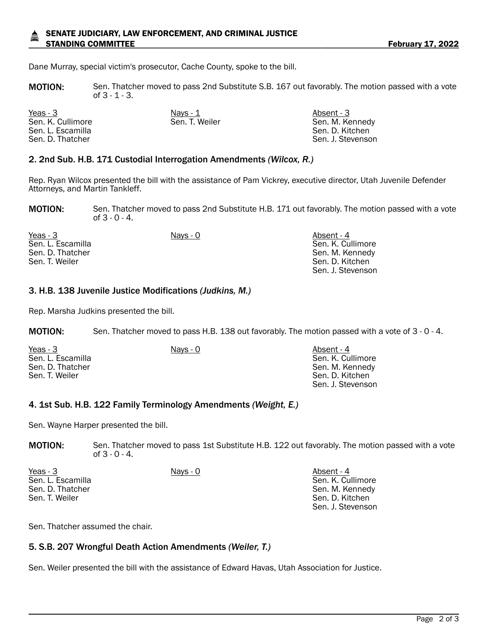#### SENATE JUDICIARY, LAW ENFORCEMENT, AND CRIMINAL JUSTICE STANDING COMMITTEE **FEBRUARY 17, 2022**

Dane Murray, special victim's prosecutor, Cache County, spoke to the bill.

MOTION: Sen. Thatcher moved to pass 2nd Substitute S.B. 167 out favorably. The motion passed with a vote of 3 - 1 - 3.

| Yeas - 3          | Nays - 1       | Absent - 3        |
|-------------------|----------------|-------------------|
| Sen. K. Cullimore | Sen. T. Weiler | Sen. M. Kennedy   |
| Sen. L. Escamilla |                | Sen. D. Kitchen   |
| Sen. D. Thatcher  |                | Sen. J. Stevenson |

#### 2. 2nd Sub. H.B. 171 Custodial Interrogation Amendments *(Wilcox, R.)*

Rep. Ryan Wilcox presented the bill with the assistance of Pam Vickrey, executive director, Utah Juvenile Defender Attorneys, and Martin Tankleff.

MOTION: Sen. Thatcher moved to pass 2nd Substitute H.B. 171 out favorably. The motion passed with a vote of 3 - 0 - 4.

| Yeas - 3          | Nays - 0 | Absent - 4        |
|-------------------|----------|-------------------|
| Sen. L. Escamilla |          | Sen. K. Cullimore |
| Sen. D. Thatcher  |          | Sen. M. Kennedy   |
| Sen. T. Weiler    |          | Sen. D. Kitchen   |
|                   |          | Sen. J. Stevenson |

#### 3. H.B. 138 Juvenile Justice Modifications *(Judkins, M.)*

Rep. Marsha Judkins presented the bill.

MOTION: Sen. Thatcher moved to pass H.B. 138 out favorably. The motion passed with a vote of 3 - 0 - 4.

| Yeas - 3          | Nays - 0 | Absent - 4        |
|-------------------|----------|-------------------|
| Sen. L. Escamilla |          | Sen. K. Cullimore |
| Sen. D. Thatcher  |          | Sen. M. Kennedy   |
| Sen. T. Weiler    |          | Sen. D. Kitchen   |
|                   |          | Sen. J. Stevenson |

#### 4. 1st Sub. H.B. 122 Family Terminology Amendments *(Weight, E.)*

Sen. Wayne Harper presented the bill.

MOTION: Sen. Thatcher moved to pass 1st Substitute H.B. 122 out favorably. The motion passed with a vote of 3 - 0 - 4.

| Yeas - 3          | <u>Nays - 0</u> | Absent - 4        |
|-------------------|-----------------|-------------------|
| Sen. L. Escamilla |                 | Sen. K. Cullimore |
| Sen. D. Thatcher  |                 | Sen. M. Kennedy   |
| Sen. T. Weiler    |                 | Sen. D. Kitchen   |
|                   |                 | Sen. J. Stevenson |

Sen. Thatcher assumed the chair.

### 5. S.B. 207 Wrongful Death Action Amendments *(Weiler, T.)*

Sen. Weiler presented the bill with the assistance of Edward Havas, Utah Association for Justice.